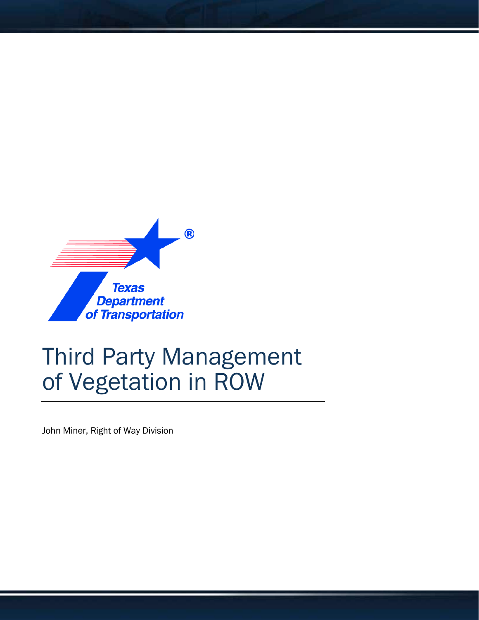

# Third Party Management of Vegetation in ROW

John Miner, Right of Way Division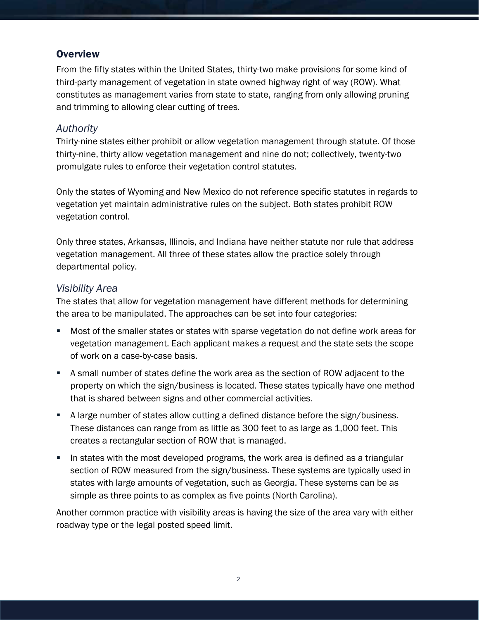### **Overview**

From the fifty states within the United States, thirty-two make provisions for some kind of third-party management of vegetation in state owned highway right of way (ROW). What constitutes as management varies from state to state, ranging from only allowing pruning and trimming to allowing clear cutting of trees.

#### *Authority*

Thirty-nine states either prohibit or allow vegetation management through statute. Of those thirty-nine, thirty allow vegetation management and nine do not; collectively, twenty-two promulgate rules to enforce their vegetation control statutes.

Only the states of Wyoming and New Mexico do not reference specific statutes in regards to vegetation yet maintain administrative rules on the subject. Both states prohibit ROW vegetation control.

Only three states, Arkansas, Illinois, and Indiana have neither statute nor rule that address vegetation management. All three of these states allow the practice solely through departmental policy.

#### *Visibility Area*

The states that allow for vegetation management have different methods for determining the area to be manipulated. The approaches can be set into four categories:

- Most of the smaller states or states with sparse vegetation do not define work areas for vegetation management. Each applicant makes a request and the state sets the scope of work on a case-by-case basis.
- A small number of states define the work area as the section of ROW adjacent to the property on which the sign/business is located. These states typically have one method that is shared between signs and other commercial activities.
- A large number of states allow cutting a defined distance before the sign/business. These distances can range from as little as 300 feet to as large as 1,000 feet. This creates a rectangular section of ROW that is managed.
- In states with the most developed programs, the work area is defined as a triangular section of ROW measured from the sign/business. These systems are typically used in states with large amounts of vegetation, such as Georgia. These systems can be as simple as three points to as complex as five points (North Carolina).

Another common practice with visibility areas is having the size of the area vary with either roadway type or the legal posted speed limit.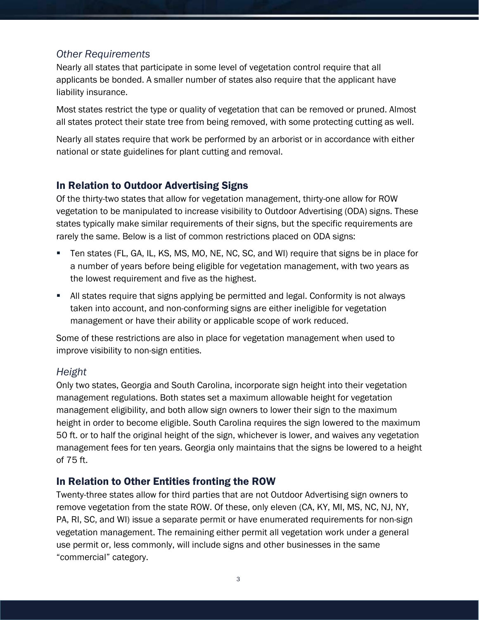#### *Other Requirements*

Nearly all states that participate in some level of vegetation control require that all applicants be bonded. A smaller number of states also require that the applicant have liability insurance.

Most states restrict the type or quality of vegetation that can be removed or pruned. Almost all states protect their state tree from being removed, with some protecting cutting as well.

Nearly all states require that work be performed by an arborist or in accordance with either national or state guidelines for plant cutting and removal.

#### In Relation to Outdoor Advertising Signs

Of the thirty-two states that allow for vegetation management, thirty-one allow for ROW vegetation to be manipulated to increase visibility to Outdoor Advertising (ODA) signs. These states typically make similar requirements of their signs, but the specific requirements are rarely the same. Below is a list of common restrictions placed on ODA signs:

- Ten states (FL, GA, IL, KS, MS, MO, NE, NC, SC, and WI) require that signs be in place for a number of years before being eligible for vegetation management, with two years as the lowest requirement and five as the highest.
- All states require that signs applying be permitted and legal. Conformity is not always taken into account, and non-conforming signs are either ineligible for vegetation management or have their ability or applicable scope of work reduced.

Some of these restrictions are also in place for vegetation management when used to improve visibility to non-sign entities.

#### *Height*

Only two states, Georgia and South Carolina, incorporate sign height into their vegetation management regulations. Both states set a maximum allowable height for vegetation management eligibility, and both allow sign owners to lower their sign to the maximum height in order to become eligible. South Carolina requires the sign lowered to the maximum 50 ft. or to half the original height of the sign, whichever is lower, and waives any vegetation management fees for ten years. Georgia only maintains that the signs be lowered to a height of 75 ft.

## In Relation to Other Entities fronting the ROW

Twenty-three states allow for third parties that are not Outdoor Advertising sign owners to remove vegetation from the state ROW. Of these, only eleven (CA, KY, MI, MS, NC, NJ, NY, PA, RI, SC, and WI) issue a separate permit or have enumerated requirements for non-sign vegetation management. The remaining either permit all vegetation work under a general use permit or, less commonly, will include signs and other businesses in the same "commercial" category.